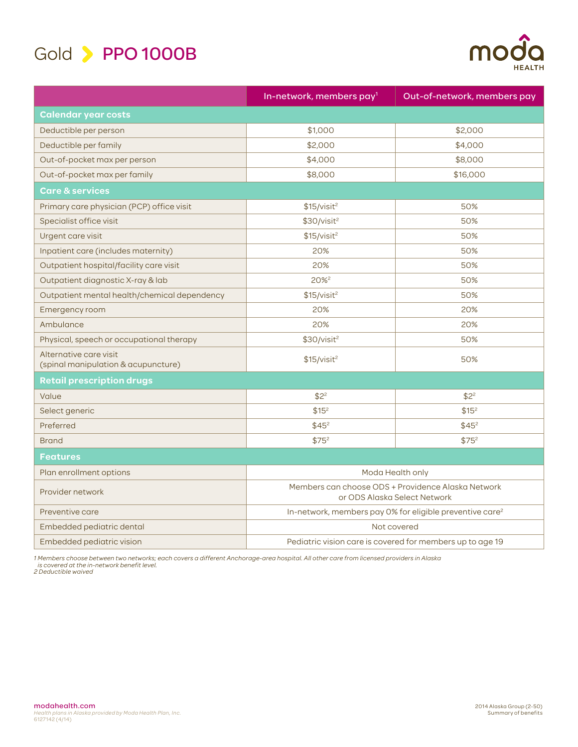

| ШH |               |
|----|---------------|
|    | <b>HEALTH</b> |

|                                                               | In-network, members pay <sup>1</sup>                                               | Out-of-network, members pay |
|---------------------------------------------------------------|------------------------------------------------------------------------------------|-----------------------------|
| <b>Calendar year costs</b>                                    |                                                                                    |                             |
| Deductible per person                                         | \$1,000                                                                            | \$2,000                     |
| Deductible per family                                         | \$2,000                                                                            | \$4,000                     |
| Out-of-pocket max per person                                  | \$4,000                                                                            | \$8,000                     |
| Out-of-pocket max per family                                  | \$8,000                                                                            | \$16,000                    |
| <b>Care &amp; services</b>                                    |                                                                                    |                             |
| Primary care physician (PCP) office visit                     | \$15/visit <sup>2</sup>                                                            | 50%                         |
| Specialist office visit                                       | \$30/visit <sup>2</sup>                                                            | 50%                         |
| Urgent care visit                                             | \$15/visit <sup>2</sup>                                                            | 50%                         |
| Inpatient care (includes maternity)                           | 20%                                                                                | 50%                         |
| Outpatient hospital/facility care visit                       | 20%                                                                                | 50%                         |
| Outpatient diagnostic X-ray & lab                             | $20%^{2}$                                                                          | 50%                         |
| Outpatient mental health/chemical dependency                  | \$15/visit <sup>2</sup>                                                            | 50%                         |
| Emergency room                                                | 20%                                                                                | 20%                         |
| Ambulance                                                     | 20%                                                                                | 20%                         |
| Physical, speech or occupational therapy                      | \$30/visit <sup>2</sup>                                                            | 50%                         |
| Alternative care visit<br>(spinal manipulation & acupuncture) | \$15/visit <sup>2</sup>                                                            | 50%                         |
| <b>Retail prescription drugs</b>                              |                                                                                    |                             |
| Value                                                         | $$2^2$                                                                             | $$2^2$                      |
| Select generic                                                | \$15 <sup>2</sup>                                                                  | \$15 <sup>2</sup>           |
| Preferred                                                     | $$45^2$                                                                            | $$45^2$                     |
| <b>Brand</b>                                                  | \$75 <sup>2</sup>                                                                  | \$75 <sup>2</sup>           |
| <b>Features</b>                                               |                                                                                    |                             |
| Plan enrollment options                                       | Moda Health only                                                                   |                             |
| Provider network                                              | Members can choose ODS + Providence Alaska Network<br>or ODS Alaska Select Network |                             |
| Preventive care                                               | In-network, members pay 0% for eligible preventive care <sup>2</sup>               |                             |
| Embedded pediatric dental                                     | Not covered                                                                        |                             |
| Embedded pediatric vision                                     | Pediatric vision care is covered for members up to age 19                          |                             |

1 Members choose between two networks; each covers a different Anchorage-area hospital. All other care from licensed providers in Alaska<br> is covered at the in-network benefit level.<br>2 Deductible waived